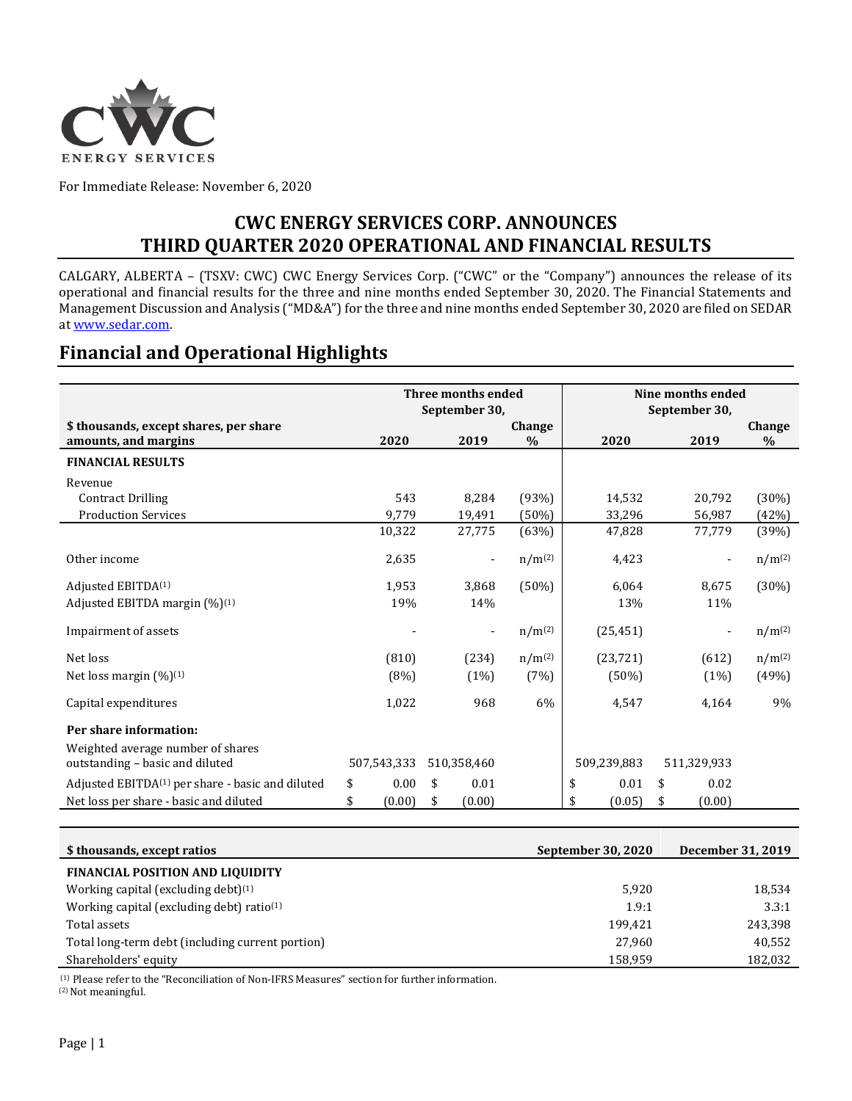

For Immediate Release: November 6, 2020

# **CWC ENERGY SERVICES CORP. ANNOUNCES THIRD QUARTER 2020 OPERATIONAL AND FINANCIAL RESULTS**

CALGARY, ALBERTA – (TSXV: CWC) CWC Energy Services Corp. ("CWC" or the "Company") announces the release of its operational and financial results for the three and nine months ended September 30, 2020. The Financial Statements and Management Discussion and Analysis ("MD&A") for the three and nine months ended September 30, 2020 are filed on SEDAR at [www.sedar.com.](http://www.sedar.com/)

### **Financial and Operational Highlights**

|                                                              | Three months ended |             |             |                          |               | Nine months ended |           |    |             |               |
|--------------------------------------------------------------|--------------------|-------------|-------------|--------------------------|---------------|-------------------|-----------|----|-------------|---------------|
|                                                              | September 30,      |             |             | September 30,            |               |                   |           |    |             |               |
| \$ thousands, except shares, per share                       |                    |             |             |                          | <b>Change</b> |                   |           |    |             | <b>Change</b> |
| amounts, and margins                                         |                    | 2020        |             | 2019                     | $\frac{0}{0}$ |                   | 2020      |    | 2019        | $\frac{0}{0}$ |
| <b>FINANCIAL RESULTS</b>                                     |                    |             |             |                          |               |                   |           |    |             |               |
| Revenue                                                      |                    |             |             |                          |               |                   |           |    |             |               |
| <b>Contract Drilling</b>                                     |                    | 543         |             | 8,284                    | (93%)         |                   | 14,532    |    | 20,792      | (30%)         |
| <b>Production Services</b>                                   |                    | 9,779       |             | 19,491                   | (50%)         |                   | 33,296    |    | 56,987      | (42%)         |
|                                                              |                    | 10,322      |             | 27,775                   | (63%)         |                   | 47,828    |    | 77,779      | (39%)         |
| Other income                                                 |                    | 2,635       |             | $\overline{\phantom{a}}$ | $n/m^{(2)}$   |                   | 4,423     |    |             | $n/m^{(2)}$   |
| Adjusted EBITDA <sup>(1)</sup>                               |                    | 1,953       |             | 3,868                    | (50%)         |                   | 6,064     |    | 8,675       | (30%)         |
| Adjusted EBITDA margin $(\frac{9}{6})^{(1)}$                 |                    | 19%         |             | 14%                      |               |                   | 13%       |    | 11%         |               |
| Impairment of assets                                         |                    |             |             |                          | $n/m^{(2)}$   |                   | (25, 451) |    |             | $n/m^{(2)}$   |
| Net loss                                                     |                    | (810)       |             | (234)                    | $n/m^{(2)}$   |                   | (23, 721) |    | (612)       | $n/m^{(2)}$   |
| Net loss margin $(\frac{9}{1})^{(1)}$                        |                    | (8%)        |             | (1%)                     | (7%)          |                   | (50%)     |    | (1%)        | (49%)         |
| Capital expenditures                                         |                    | 1,022       |             | 968                      | 6%            |                   | 4,547     |    | 4,164       | 9%            |
| Per share information:                                       |                    |             |             |                          |               |                   |           |    |             |               |
| Weighted average number of shares                            |                    |             |             |                          |               |                   |           |    |             |               |
| outstanding - basic and diluted                              |                    | 507.543.333 | 510,358,460 |                          |               | 509.239.883       |           |    | 511,329,933 |               |
| Adjusted EBITDA <sup>(1)</sup> per share - basic and diluted | \$                 | 0.00        | \$          | 0.01                     |               | \$                | 0.01      | \$ | 0.02        |               |
| Net loss per share - basic and diluted                       | \$                 | (0.00)      | \$          | (0.00)                   |               | \$                | (0.05)    | \$ | (0.00)      |               |
|                                                              |                    |             |             |                          |               |                   |           |    |             |               |

| \$ thousands, except ratios                           | September 30, 2020 | December 31, 2019 |
|-------------------------------------------------------|--------------------|-------------------|
| <b>FINANCIAL POSITION AND LIQUIDITY</b>               |                    |                   |
| Working capital (excluding debt) <sup>(1)</sup>       | 5,920              | 18,534            |
| Working capital (excluding debt) ratio <sup>(1)</sup> | 1.9:1              | 3.3:1             |
| Total assets                                          | 199.421            | 243,398           |
| Total long-term debt (including current portion)      | 27.960             | 40,552            |
| Shareholders' equity                                  | 158.959            | 182,032           |

 $^{\left(1\right)}$  Please refer to the "Reconciliation of Non-IFRS Measures" section for further information.

(2) Not meaningful.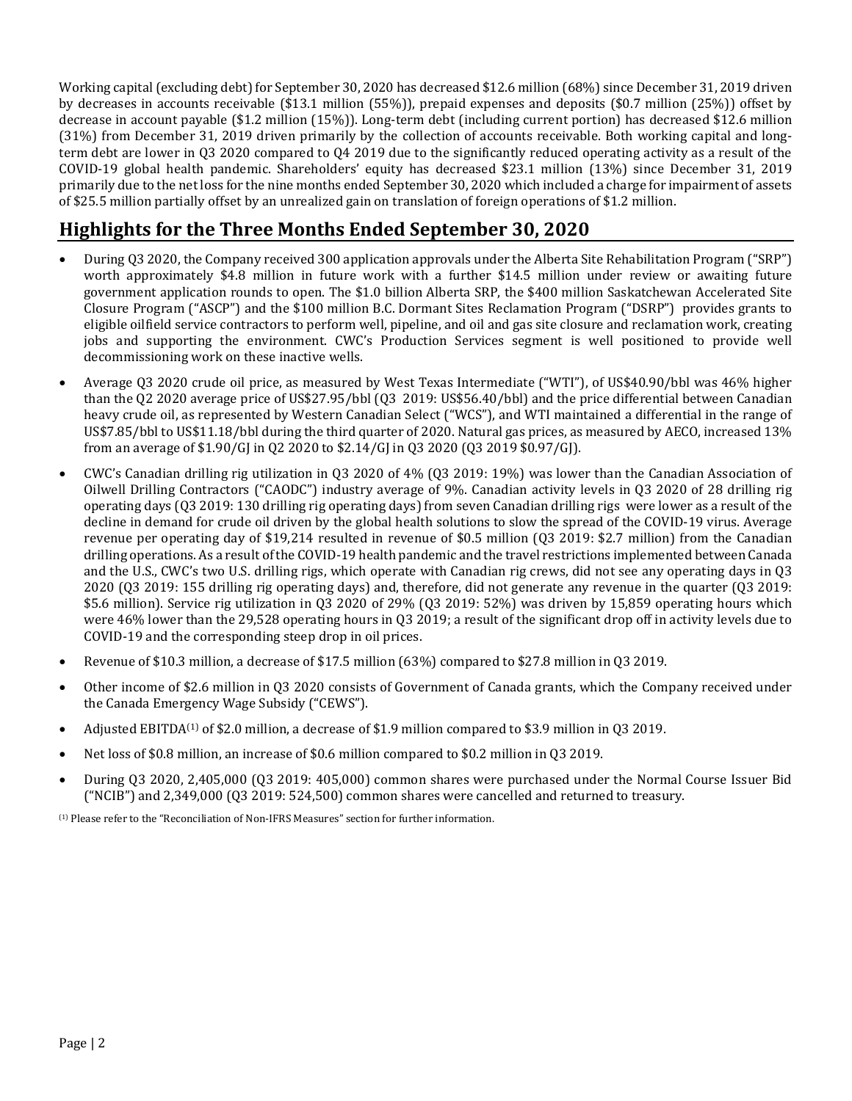Working capital (excluding debt) for September 30, 2020 has decreased \$12.6 million (68%) since December 31, 2019 driven by decreases in accounts receivable (\$13.1 million (55%)), prepaid expenses and deposits (\$0.7 million (25%)) offset by decrease in account payable (\$1.2 million (15%)). Long-term debt (including current portion) has decreased \$12.6 million (31%) from December 31, 2019 driven primarily by the collection of accounts receivable. Both working capital and longterm debt are lower in Q3 2020 compared to Q4 2019 due to the significantly reduced operating activity as a result of the COVID-19 global health pandemic. Shareholders' equity has decreased \$23.1 million (13%) since December 31, 2019 primarily due to the net loss for the nine months ended September 30, 2020 which included a charge for impairment of assets of \$25.5 million partially offset by an unrealized gain on translation of foreign operations of \$1.2 million.

# **Highlights for the Three Months Ended September 30, 2020**

- During Q3 2020, the Company received 300 application approvals under the Alberta Site Rehabilitation Program ("SRP") worth approximately \$4.8 million in future work with a further \$14.5 million under review or awaiting future government application rounds to open. The \$1.0 billion Alberta SRP, the \$400 million Saskatchewan Accelerated Site Closure Program ("ASCP") and the \$100 million B.C. Dormant Sites Reclamation Program ("DSRP") provides grants to eligible oilfield service contractors to perform well, pipeline, and oil and gas site closure and reclamation work, creating jobs and supporting the environment. CWC's Production Services segment is well positioned to provide well decommissioning work on these inactive wells.
- Average Q3 2020 crude oil price, as measured by West Texas Intermediate ("WTI"), of US\$40.90/bbl was 46% higher than the Q2 2020 average price of US\$27.95/bbl (Q3 2019: US\$56.40/bbl) and the price differential between Canadian heavy crude oil, as represented by Western Canadian Select ("WCS"), and WTI maintained a differential in the range of US\$7.85/bbl to US\$11.18/bbl during the third quarter of 2020. Natural gas prices, as measured by AECO, increased 13% from an average of \$1.90/GJ in Q2 2020 to \$2.14/GJ in Q3 2020 (Q3 2019 \$0.97/GJ).
- CWC's Canadian drilling rig utilization in Q3 2020 of 4% (Q3 2019: 19%) was lower than the Canadian Association of Oilwell Drilling Contractors ("CAODC") industry average of 9%. Canadian activity levels in Q3 2020 of 28 drilling rig operating days (Q3 2019: 130 drilling rig operating days) from seven Canadian drilling rigs were lower as a result of the decline in demand for crude oil driven by the global health solutions to slow the spread of the COVID-19 virus. Average revenue per operating day of \$19,214 resulted in revenue of \$0.5 million (Q3 2019: \$2.7 million) from the Canadian drilling operations. As a result of the COVID-19 health pandemic and the travel restrictions implemented between Canada and the U.S., CWC's two U.S. drilling rigs, which operate with Canadian rig crews, did not see any operating days in Q3 2020 (Q3 2019: 155 drilling rig operating days) and, therefore, did not generate any revenue in the quarter (Q3 2019: \$5.6 million). Service rig utilization in Q3 2020 of 29% (Q3 2019: 52%) was driven by 15,859 operating hours which were 46% lower than the 29,528 operating hours in Q3 2019; a result of the significant drop off in activity levels due to COVID-19 and the corresponding steep drop in oil prices.
- Revenue of \$10.3 million, a decrease of \$17.5 million (63%) compared to \$27.8 million in Q3 2019.
- Other income of \$2.6 million in Q3 2020 consists of Government of Canada grants, which the Company received under the Canada Emergency Wage Subsidy ("CEWS").
- Adjusted EBITDA<sup>(1)</sup> of \$2.0 million, a decrease of \$1.9 million compared to \$3.9 million in 03 2019.
- Net loss of \$0.8 million, an increase of \$0.6 million compared to \$0.2 million in Q3 2019.
- During Q3 2020, 2,405,000 (Q3 2019: 405,000) common shares were purchased under the Normal Course Issuer Bid ("NCIB") and 2,349,000 (Q3 2019: 524,500) common shares were cancelled and returned to treasury.

(1) Please refer to the "Reconciliation of Non-IFRS Measures" section for further information.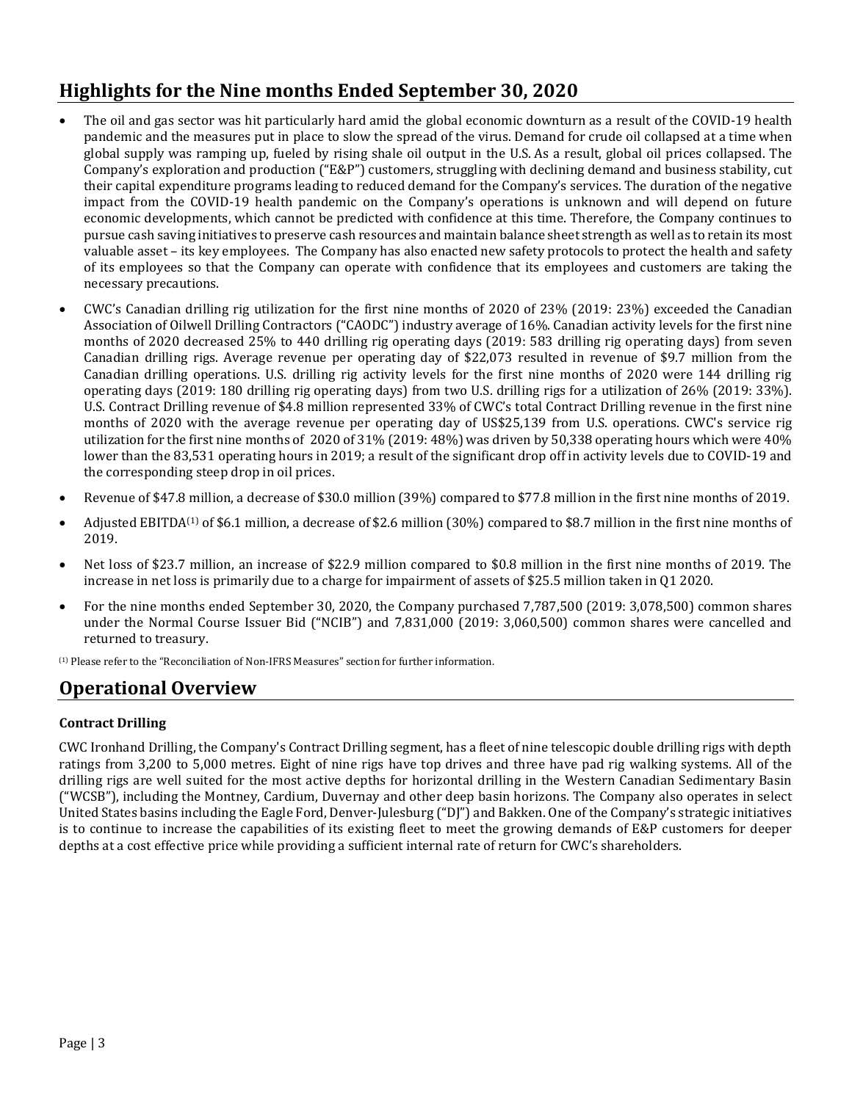# **Highlights for the Nine months Ended September 30, 2020**

- The oil and gas sector was hit particularly hard amid the global economic downturn as a result of the COVID-19 health pandemic and the measures put in place to slow the spread of the virus. Demand for crude oil collapsed at a time when global supply was ramping up, fueled by rising shale oil output in the U.S. As a result, global oil prices collapsed. The Company's exploration and production ("E&P") customers, struggling with declining demand and business stability, cut their capital expenditure programs leading to reduced demand for the Company's services. The duration of the negative impact from the COVID-19 health pandemic on the Company's operations is unknown and will depend on future economic developments, which cannot be predicted with confidence at this time. Therefore, the Company continues to pursue cash saving initiatives to preserve cash resources and maintain balance sheet strength as well as to retain its most valuable asset – its key employees. The Company has also enacted new safety protocols to protect the health and safety of its employees so that the Company can operate with confidence that its employees and customers are taking the necessary precautions.
- CWC's Canadian drilling rig utilization for the first nine months of 2020 of 23% (2019: 23%) exceeded the Canadian Association of Oilwell Drilling Contractors ("CAODC") industry average of 16%. Canadian activity levels for the first nine months of 2020 decreased 25% to 440 drilling rig operating days (2019: 583 drilling rig operating days) from seven Canadian drilling rigs. Average revenue per operating day of \$22,073 resulted in revenue of \$9.7 million from the Canadian drilling operations. U.S. drilling rig activity levels for the first nine months of 2020 were 144 drilling rig operating days (2019: 180 drilling rig operating days) from two U.S. drilling rigs for a utilization of 26% (2019: 33%). U.S. Contract Drilling revenue of \$4.8 million represented 33% of CWC's total Contract Drilling revenue in the first nine months of 2020 with the average revenue per operating day of US\$25,139 from U.S. operations. CWC's service rig utilization for the first nine months of 2020 of 31% (2019: 48%) was driven by 50,338 operating hours which were 40% lower than the 83,531 operating hours in 2019; a result of the significant drop off in activity levels due to COVID-19 and the corresponding steep drop in oil prices.
- Revenue of \$47.8 million, a decrease of \$30.0 million (39%) compared to \$77.8 million in the first nine months of 2019.
- Adjusted EBITDA<sup>(1)</sup> of \$6.1 million, a decrease of \$2.6 million (30%) compared to \$8.7 million in the first nine months of 2019.
- Net loss of \$23.7 million, an increase of \$22.9 million compared to \$0.8 million in the first nine months of 2019. The increase in net loss is primarily due to a charge for impairment of assets of \$25.5 million taken in Q1 2020.
- For the nine months ended September 30, 2020, the Company purchased 7,787,500 (2019: 3,078,500) common shares under the Normal Course Issuer Bid ("NCIB") and 7,831,000 (2019: 3,060,500) common shares were cancelled and returned to treasury.

(1) Please refer to the "Reconciliation of Non-IFRS Measures" section for further information.

### **Operational Overview**

#### **Contract Drilling**

CWC Ironhand Drilling, the Company's Contract Drilling segment, has a fleet of nine telescopic double drilling rigs with depth ratings from 3,200 to 5,000 metres. Eight of nine rigs have top drives and three have pad rig walking systems. All of the drilling rigs are well suited for the most active depths for horizontal drilling in the Western Canadian Sedimentary Basin ("WCSB"), including the Montney, Cardium, Duvernay and other deep basin horizons. The Company also operates in select United States basins including the Eagle Ford, Denver-Julesburg ("DJ") and Bakken. One of the Company's strategic initiatives is to continue to increase the capabilities of its existing fleet to meet the growing demands of E&P customers for deeper depths at a cost effective price while providing a sufficient internal rate of return for CWC's shareholders.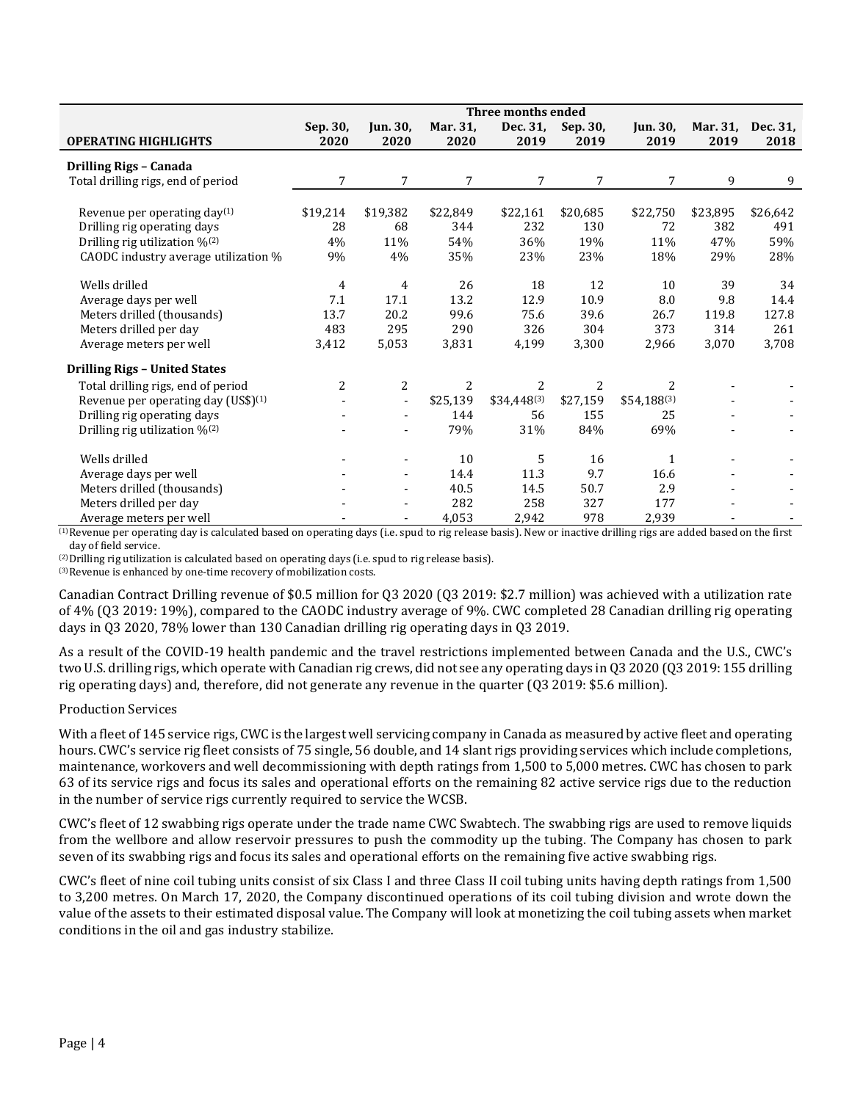|                                                       | Three months ended |          |                |                 |                |                 |          |          |  |
|-------------------------------------------------------|--------------------|----------|----------------|-----------------|----------------|-----------------|----------|----------|--|
|                                                       | Sep. 30.           | Jun. 30, | Mar. 31,       | Dec. 31,        | Sep. 30,       | <b>Jun. 30,</b> | Mar. 31, | Dec. 31, |  |
| <b>OPERATING HIGHLIGHTS</b>                           | 2020               | 2020     | 2020           | 2019            | 2019           | 2019            | 2019     | 2018     |  |
| Drilling Rigs - Canada                                |                    |          |                |                 |                |                 |          |          |  |
| Total drilling rigs, end of period                    | 7                  | 7        | 7              | 7               | 7              | 7               | 9        | 9        |  |
|                                                       |                    |          |                |                 |                |                 |          |          |  |
| Revenue per operating day <sup>(1)</sup>              | \$19,214           | \$19,382 | \$22,849       | \$22,161        | \$20,685       | \$22,750        | \$23,895 | \$26,642 |  |
| Drilling rig operating days                           | 28                 | 68       | 344            | 232             | 130            | 72              | 382      | 491      |  |
| Drilling rig utilization $\frac{9}{2}$ <sup>(2)</sup> | 4%                 | 11%      | 54%            | 36%             | 19%            | 11%             | 47%      | 59%      |  |
| CAODC industry average utilization %                  | 9%                 | $4\%$    | 35%            | 23%             | 23%            | 18%             | 29%      | 28%      |  |
|                                                       |                    |          |                |                 |                |                 |          |          |  |
| Wells drilled                                         | 4                  | 4        | 26             | 18              | 12             | 10              | 39       | 34       |  |
| Average days per well                                 | 7.1                | 17.1     | 13.2           | 12.9            | 10.9           | 8.0             | 9.8      | 14.4     |  |
| Meters drilled (thousands)                            | 13.7               | 20.2     | 99.6           | 75.6            | 39.6           | 26.7            | 119.8    | 127.8    |  |
| Meters drilled per day                                | 483                | 295      | 290            | 326             | 304            | 373             | 314      | 261      |  |
| Average meters per well                               | 3,412              | 5,053    | 3,831          | 4,199           | 3,300          | 2,966           | 3,070    | 3,708    |  |
| <b>Drilling Rigs - United States</b>                  |                    |          |                |                 |                |                 |          |          |  |
| Total drilling rigs, end of period                    | $\overline{2}$     | 2        | $\overline{2}$ | $\overline{2}$  | $\overline{2}$ | 2               |          |          |  |
| Revenue per operating day (US\$) <sup>(1)</sup>       |                    |          | \$25,139       | $$34,448^{(3)}$ | \$27,159       | \$54,188(3)     |          |          |  |
| Drilling rig operating days                           |                    |          | 144            | 56              | 155            | 25              |          |          |  |
| Drilling rig utilization $\frac{9}{2}$                |                    |          | 79%            | 31%             | 84%            | 69%             |          |          |  |
|                                                       |                    |          |                |                 |                |                 |          |          |  |
| Wells drilled                                         |                    |          | 10             | 5               | 16             | $\mathbf{1}$    |          |          |  |
| Average days per well                                 |                    |          | 14.4           | 11.3            | 9.7            | 16.6            |          |          |  |
| Meters drilled (thousands)                            |                    |          | 40.5           | 14.5            | 50.7           | 2.9             |          |          |  |
| Meters drilled per day                                |                    |          | 282            | 258             | 327            | 177             |          |          |  |
| Average meters per well                               |                    |          | 4,053          | 2,942           | 978            | 2,939           |          |          |  |

<sup>(1)</sup>Revenue per operating day is calculated based on operating days (i.e. spud to rig release basis). New or inactive drilling rigs are added based on the first day of field service.

 $^{(2)}$ Drilling rig utilization is calculated based on operating days (i.e. spud to rig release basis).

(3)Revenue is enhanced by one-time recovery of mobilization costs.

Canadian Contract Drilling revenue of \$0.5 million for Q3 2020 (Q3 2019: \$2.7 million) was achieved with a utilization rate of 4% (Q3 2019: 19%), compared to the CAODC industry average of 9%. CWC completed 28 Canadian drilling rig operating days in Q3 2020, 78% lower than 130 Canadian drilling rig operating days in Q3 2019.

As a result of the COVID-19 health pandemic and the travel restrictions implemented between Canada and the U.S., CWC's two U.S. drilling rigs, which operate with Canadian rig crews, did not see any operating days in Q3 2020 (Q3 2019: 155 drilling rig operating days) and, therefore, did not generate any revenue in the quarter (Q3 2019: \$5.6 million).

#### Production Services

With a fleet of 145 service rigs, CWC is the largest well servicing company in Canada as measured by active fleet and operating hours. CWC's service rig fleet consists of 75 single, 56 double, and 14 slant rigs providing services which include completions, maintenance, workovers and well decommissioning with depth ratings from 1,500 to 5,000 metres. CWC has chosen to park 63 of its service rigs and focus its sales and operational efforts on the remaining 82 active service rigs due to the reduction in the number of service rigs currently required to service the WCSB.

CWC's fleet of 12 swabbing rigs operate under the trade name CWC Swabtech. The swabbing rigs are used to remove liquids from the wellbore and allow reservoir pressures to push the commodity up the tubing. The Company has chosen to park seven of its swabbing rigs and focus its sales and operational efforts on the remaining five active swabbing rigs.

CWC's fleet of nine coil tubing units consist of six Class I and three Class II coil tubing units having depth ratings from 1,500 to 3,200 metres. On March 17, 2020, the Company discontinued operations of its coil tubing division and wrote down the value of the assets to their estimated disposal value. The Company will look at monetizing the coil tubing assets when market conditions in the oil and gas industry stabilize.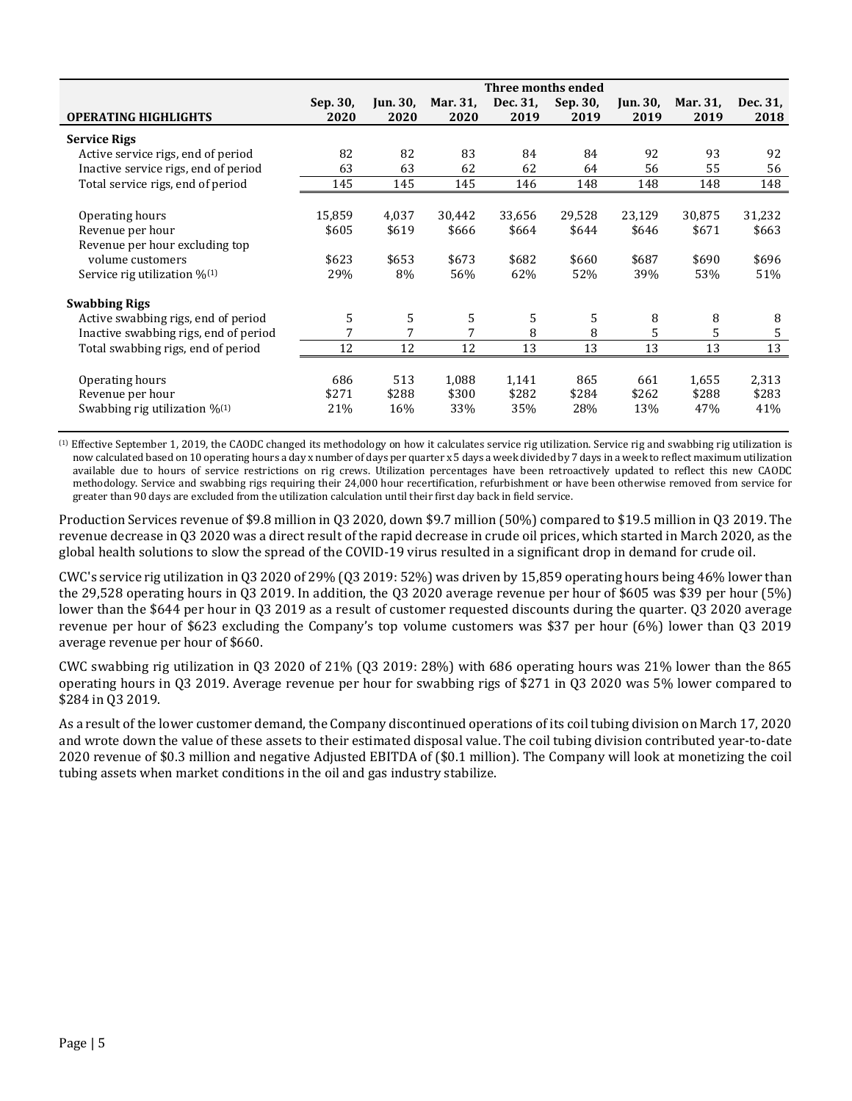|                                                        | Three months ended |                 |          |          |          |                 |          |          |  |  |
|--------------------------------------------------------|--------------------|-----------------|----------|----------|----------|-----------------|----------|----------|--|--|
|                                                        | Sep. 30,           | <b>Jun. 30,</b> | Mar. 31, | Dec. 31, | Sep. 30, | <b>Jun. 30,</b> | Mar. 31, | Dec. 31, |  |  |
| <b>OPERATING HIGHLIGHTS</b>                            | 2020               | 2020            | 2020     | 2019     | 2019     | 2019            | 2019     | 2018     |  |  |
| <b>Service Rigs</b>                                    |                    |                 |          |          |          |                 |          |          |  |  |
| Active service rigs, end of period                     | 82                 | 82              | 83       | 84       | 84       | 92              | 93       | 92       |  |  |
| Inactive service rigs, end of period                   | 63                 | 63              | 62       | 62       | 64       | 56              | 55       | 56       |  |  |
| Total service rigs, end of period                      | 145                | 145             | 145      | 146      | 148      | 148             | 148      | 148      |  |  |
| Operating hours                                        | 15,859             | 4,037           | 30,442   | 33,656   | 29,528   | 23,129          | 30,875   | 31,232   |  |  |
| Revenue per hour                                       | \$605              | \$619           | \$666    | \$664    | \$644    | \$646           | \$671    | \$663    |  |  |
| Revenue per hour excluding top                         |                    |                 |          |          |          |                 |          |          |  |  |
| volume customers                                       | \$623              | \$653           | \$673    | \$682    | \$660    | \$687           | \$690    | \$696    |  |  |
| Service rig utilization $\frac{9}{11}$                 | 29%                | 8%              | 56%      | 62%      | 52%      | 39%             | 53%      | 51%      |  |  |
| <b>Swabbing Rigs</b>                                   |                    |                 |          |          |          |                 |          |          |  |  |
| Active swabbing rigs, end of period                    | 5                  | 5               | 5        | 5        | 5        | 8               | 8        | 8        |  |  |
| Inactive swabbing rigs, end of period                  | 7                  | 7               | 7        | 8        | 8        | 5               | 5        | 5        |  |  |
| Total swabbing rigs, end of period                     | 12                 | 12              | 12       | 13       | 13       | 13              | 13       | 13       |  |  |
|                                                        |                    |                 |          |          |          |                 |          |          |  |  |
| Operating hours                                        | 686                | 513             | 1,088    | 1,141    | 865      | 661             | 1,655    | 2,313    |  |  |
| Revenue per hour                                       | \$271              | \$288           | \$300    | \$282    | \$284    | \$262           | \$288    | \$283    |  |  |
| Swabbing rig utilization $\frac{9}{10}$ <sup>(1)</sup> | 21%                | 16%             | 33%      | 35%      | 28%      | 13%             | 47%      | 41%      |  |  |

 $<sup>(1)</sup>$  Effective September 1, 2019, the CAODC changed its methodology on how it calculates service rig utilization. Service rig and swabbing rig utilization is</sup> now calculated based on 10 operating hours a day x number of days per quarter x 5 days a week divided by 7 days in a week to reflect maximum utilization available due to hours of service restrictions on rig crews. Utilization percentages have been retroactively updated to reflect this new CAODC methodology. Service and swabbing rigs requiring their 24,000 hour recertification, refurbishment or have been otherwise removed from service for greater than 90 days are excluded from the utilization calculation until their first day back in field service.

Production Services revenue of \$9.8 million in Q3 2020, down \$9.7 million (50%) compared to \$19.5 million in Q3 2019. The revenue decrease in Q3 2020 was a direct result of the rapid decrease in crude oil prices, which started in March 2020, as the global health solutions to slow the spread of the COVID-19 virus resulted in a significant drop in demand for crude oil.

CWC's service rig utilization in Q3 2020 of 29% (Q3 2019: 52%) was driven by 15,859 operating hours being 46% lower than the 29,528 operating hours in Q3 2019. In addition, the Q3 2020 average revenue per hour of \$605 was \$39 per hour (5%) lower than the \$644 per hour in Q3 2019 as a result of customer requested discounts during the quarter. Q3 2020 average revenue per hour of \$623 excluding the Company's top volume customers was \$37 per hour (6%) lower than Q3 2019 average revenue per hour of \$660.

CWC swabbing rig utilization in Q3 2020 of 21% (Q3 2019: 28%) with 686 operating hours was 21% lower than the 865 operating hours in Q3 2019. Average revenue per hour for swabbing rigs of \$271 in Q3 2020 was 5% lower compared to \$284 in Q3 2019.

As a result of the lower customer demand, the Company discontinued operations of its coil tubing division on March 17, 2020 and wrote down the value of these assets to their estimated disposal value. The coil tubing division contributed year-to-date 2020 revenue of \$0.3 million and negative Adjusted EBITDA of (\$0.1 million). The Company will look at monetizing the coil tubing assets when market conditions in the oil and gas industry stabilize.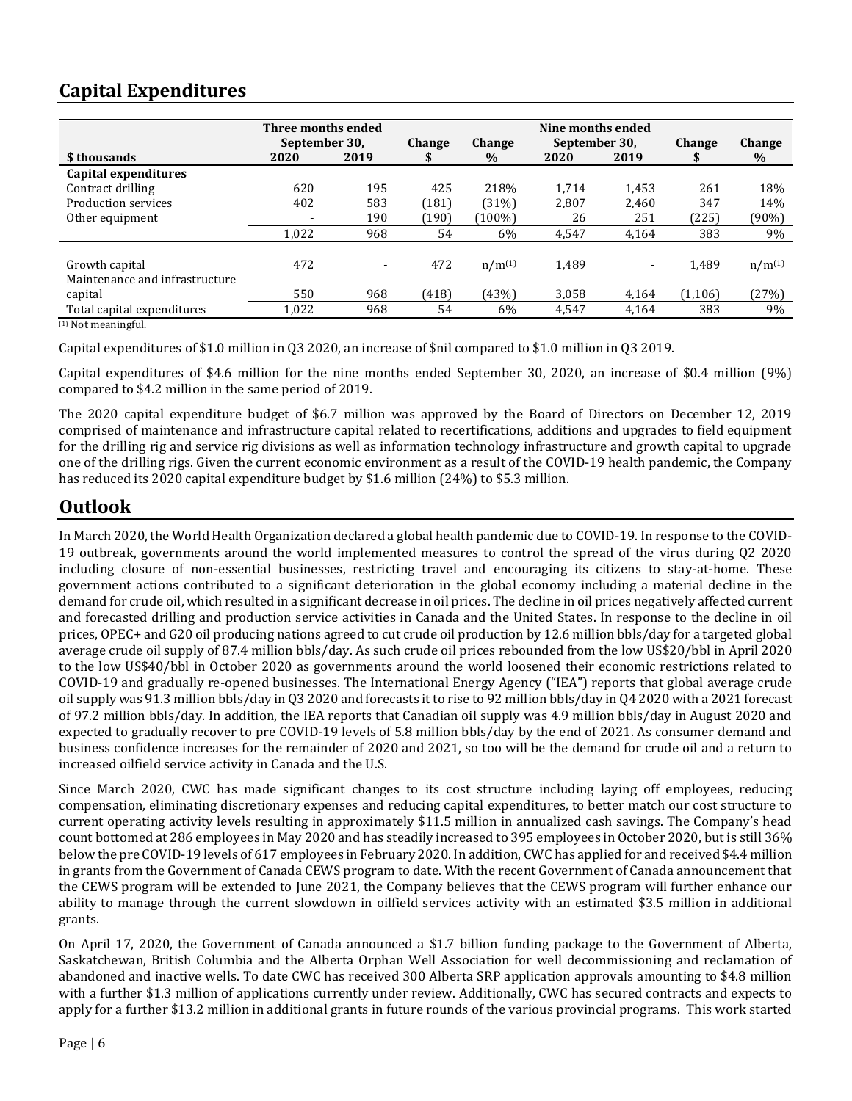# **Capital Expenditures**

|                                                  | Three months ended<br>September 30, |                | <b>Change</b> | <b>Change</b> | Nine months ended<br>September 30, | <b>Change</b> | <b>Change</b> |             |
|--------------------------------------------------|-------------------------------------|----------------|---------------|---------------|------------------------------------|---------------|---------------|-------------|
| \$thousands                                      | 2020                                | 2019           | \$            | $\%$          | 2020                               | 2019          |               | $\%$        |
| Capital expenditures                             |                                     |                |               |               |                                    |               |               |             |
| Contract drilling                                | 620                                 | 195            | 425           | 218%          | 1.714                              | 1,453         | 261           | 18%         |
| Production services                              | 402                                 | 583            | (181)         | (31%)         | 2,807                              | 2,460         | 347           | 14%         |
| Other equipment                                  | $\overline{\phantom{0}}$            | 190            | (190)         | $(100\%)$     | 26                                 | 251           | (225)         | (90%)       |
|                                                  | 1,022                               | 968            | 54            | 6%            | 4,547                              | 4,164         | 383           | 9%          |
| Growth capital<br>Maintenance and infrastructure | 472                                 | $\blacksquare$ | 472           | $n/m^{(1)}$   | 1,489                              | $\sim$        | 1.489         | $n/m^{(1)}$ |
| capital                                          | 550                                 | 968            | (418)         | (43%)         | 3,058                              | 4.164         | (1,106)       | (27%)       |
| Total capital expenditures                       | 1,022                               | 968            | 54            | 6%            | 4.547                              | 4,164         | 383           | 9%          |

 $(1)$  Not meaningful.

Capital expenditures of \$1.0 million in Q3 2020, an increase of \$nil compared to \$1.0 million in Q3 2019.

Capital expenditures of \$4.6 million for the nine months ended September 30, 2020, an increase of \$0.4 million (9%) compared to \$4.2 million in the same period of 2019.

The 2020 capital expenditure budget of \$6.7 million was approved by the Board of Directors on December 12, 2019 comprised of maintenance and infrastructure capital related to recertifications, additions and upgrades to field equipment for the drilling rig and service rig divisions as well as information technology infrastructure and growth capital to upgrade one of the drilling rigs. Given the current economic environment as a result of the COVID-19 health pandemic, the Company has reduced its 2020 capital expenditure budget by \$1.6 million (24%) to \$5.3 million.

## **Outlook**

In March 2020, the World Health Organization declared a global health pandemic due to COVID-19. In response to the COVID-19 outbreak, governments around the world implemented measures to control the spread of the virus during Q2 2020 including closure of non-essential businesses, restricting travel and encouraging its citizens to stay-at-home. These government actions contributed to a significant deterioration in the global economy including a material decline in the demand for crude oil, which resulted in a significant decrease in oil prices. The decline in oil prices negatively affected current and forecasted drilling and production service activities in Canada and the United States. In response to the decline in oil prices, OPEC+ and G20 oil producing nations agreed to cut crude oil production by 12.6 million bbls/day for a targeted global average crude oil supply of 87.4 million bbls/day. As such crude oil prices rebounded from the low US\$20/bbl in April 2020 to the low US\$40/bbl in October 2020 as governments around the world loosened their economic restrictions related to COVID-19 and gradually re-opened businesses. The International Energy Agency ("IEA") reports that global average crude oil supply was 91.3 million bbls/day in Q3 2020 and forecasts it to rise to 92 million bbls/day in Q4 2020 with a 2021 forecast of 97.2 million bbls/day. In addition, the IEA reports that Canadian oil supply was 4.9 million bbls/day in August 2020 and expected to gradually recover to pre COVID-19 levels of 5.8 million bbls/day by the end of 2021. As consumer demand and business confidence increases for the remainder of 2020 and 2021, so too will be the demand for crude oil and a return to increased oilfield service activity in Canada and the U.S.

Since March 2020, CWC has made significant changes to its cost structure including laying off employees, reducing compensation, eliminating discretionary expenses and reducing capital expenditures, to better match our cost structure to current operating activity levels resulting in approximately \$11.5 million in annualized cash savings. The Company's head count bottomed at 286 employees in May 2020 and has steadily increased to 395 employees in October 2020, but is still 36% below the pre COVID-19 levels of 617 employees in February 2020. In addition, CWC has applied for and received \$4.4 million in grants from the Government of Canada CEWS program to date. With the recent Government of Canada announcement that the CEWS program will be extended to June 2021, the Company believes that the CEWS program will further enhance our ability to manage through the current slowdown in oilfield services activity with an estimated \$3.5 million in additional grants.

On April 17, 2020, the Government of Canada announced a \$1.7 billion funding package to the Government of Alberta, Saskatchewan, British Columbia and the Alberta Orphan Well Association for well decommissioning and reclamation of abandoned and inactive wells. To date CWC has received 300 Alberta SRP application approvals amounting to \$4.8 million with a further \$1.3 million of applications currently under review. Additionally, CWC has secured contracts and expects to apply for a further \$13.2 million in additional grants in future rounds of the various provincial programs. This work started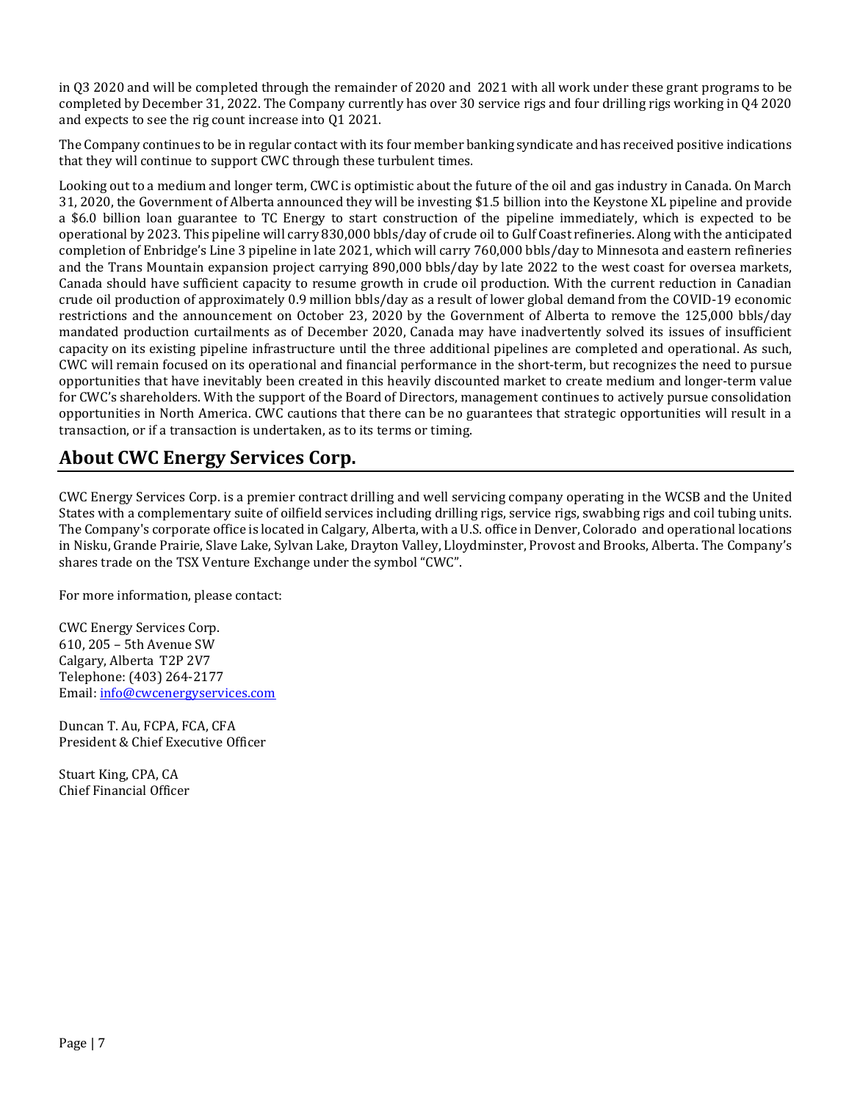in Q3 2020 and will be completed through the remainder of 2020 and 2021 with all work under these grant programs to be completed by December 31, 2022. The Company currently has over 30 service rigs and four drilling rigs working in Q4 2020 and expects to see the rig count increase into Q1 2021.

The Company continues to be in regular contact with its four member banking syndicate and has received positive indications that they will continue to support CWC through these turbulent times.

Looking out to a medium and longer term, CWC is optimistic about the future of the oil and gas industry in Canada. On March 31, 2020, the Government of Alberta announced they will be investing \$1.5 billion into the Keystone XL pipeline and provide a \$6.0 billion loan guarantee to TC Energy to start construction of the pipeline immediately, which is expected to be operational by 2023. This pipeline will carry 830,000 bbls/day of crude oil to Gulf Coast refineries. Along with the anticipated completion of Enbridge's Line 3 pipeline in late 2021, which will carry 760,000 bbls/day to Minnesota and eastern refineries and the Trans Mountain expansion project carrying 890,000 bbls/day by late 2022 to the west coast for oversea markets, Canada should have sufficient capacity to resume growth in crude oil production. With the current reduction in Canadian crude oil production of approximately 0.9 million bbls/day as a result of lower global demand from the COVID-19 economic restrictions and the announcement on October 23, 2020 by the Government of Alberta to remove the 125,000 bbls/day mandated production curtailments as of December 2020, Canada may have inadvertently solved its issues of insufficient capacity on its existing pipeline infrastructure until the three additional pipelines are completed and operational. As such, CWC will remain focused on its operational and financial performance in the short-term, but recognizes the need to pursue opportunities that have inevitably been created in this heavily discounted market to create medium and longer-term value for CWC's shareholders. With the support of the Board of Directors, management continues to actively pursue consolidation opportunities in North America. CWC cautions that there can be no guarantees that strategic opportunities will result in a transaction, or if a transaction is undertaken, as to its terms or timing.

## **About CWC Energy Services Corp.**

CWC Energy Services Corp. is a premier contract drilling and well servicing company operating in the WCSB and the United States with a complementary suite of oilfield services including drilling rigs, service rigs, swabbing rigs and coil tubing units. The Company's corporate office is located in Calgary, Alberta, with a U.S. office in Denver, Colorado and operational locations in Nisku, Grande Prairie, Slave Lake, Sylvan Lake, Drayton Valley, Lloydminster, Provost and Brooks, Alberta. The Company's shares trade on the TSX Venture Exchange under the symbol "CWC".

For more information, please contact:

CWC Energy Services Corp. 610, 205 – 5th Avenue SW Calgary, Alberta T2P 2V7 Telephone: (403) 264-2177 Email: [info@cwcenergyservices.com](mailto:info@cwcenergyservices.com)

Duncan T. Au, FCPA, FCA, CFA President & Chief Executive Officer

Stuart King, CPA, CA Chief Financial Officer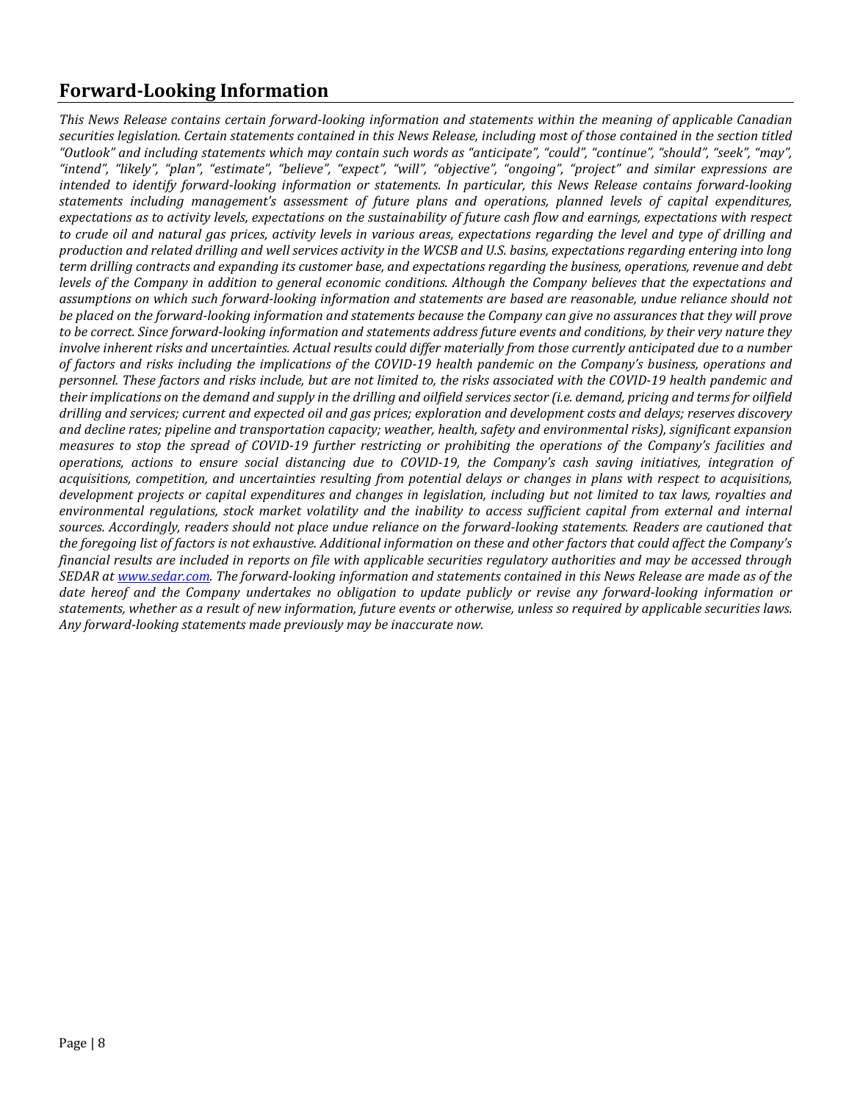# **Forward-Looking Information**

*This News Release contains certain forward-looking information and statements within the meaning of applicable Canadian securities legislation. Certain statements contained in this News Release, including most of those contained in the section titled "Outlook" and including statements which may contain such words as "anticipate", "could", "continue", "should", "seek", "may", "intend", "likely", "plan", "estimate", "believe", "expect", "will", "objective", "ongoing", "project" and similar expressions are intended to identify forward-looking information or statements. In particular, this News Release contains forward-looking statements including management's assessment of future plans and operations, planned levels of capital expenditures, expectations as to activity levels, expectations on the sustainability of future cash flow and earnings, expectations with respect to crude oil and natural gas prices, activity levels in various areas, expectations regarding the level and type of drilling and production and related drilling and well services activity in the WCSB and U.S. basins, expectations regarding entering into long term drilling contracts and expanding its customer base, and expectations regarding the business, operations, revenue and debt levels of the Company in addition to general economic conditions. Although the Company believes that the expectations and assumptions on which such forward-looking information and statements are based are reasonable, undue reliance should not be placed on the forward-looking information and statements because the Company can give no assurances that they will prove to be correct. Since forward-looking information and statements address future events and conditions, by their very nature they involve inherent risks and uncertainties. Actual results could differ materially from those currently anticipated due to a number of factors and risks including the implications of the COVID-19 health pandemic on the Company's business, operations and personnel. These factors and risks include, but are not limited to, the risks associated with the COVID-19 health pandemic and their implications on the demand and supply in the drilling and oilfield services sector (i.e. demand, pricing and terms for oilfield drilling and services; current and expected oil and gas prices; exploration and development costs and delays; reserves discovery and decline rates; pipeline and transportation capacity; weather, health, safety and environmental risks), significant expansion measures to stop the spread of COVID-19 further restricting or prohibiting the operations of the Company's facilities and operations, actions to ensure social distancing due to COVID-19, the Company's cash saving initiatives, integration of acquisitions, competition, and uncertainties resulting from potential delays or changes in plans with respect to acquisitions, development projects or capital expenditures and changes in legislation, including but not limited to tax laws, royalties and environmental regulations, stock market volatility and the inability to access sufficient capital from external and internal sources. Accordingly, readers should not place undue reliance on the forward-looking statements. Readers are cautioned that the foregoing list of factors is not exhaustive. Additional information on these and other factors that could affect the Company's financial results are included in reports on file with applicable securities regulatory authorities and may be accessed through SEDAR a[t www.sedar.com.](http://www.sedar.com/) The forward-looking information and statements contained in this News Release are made as of the date hereof and the Company undertakes no obligation to update publicly or revise any forward-looking information or statements, whether as a result of new information, future events or otherwise, unless so required by applicable securities laws. Any forward-looking statements made previously may be inaccurate now.*